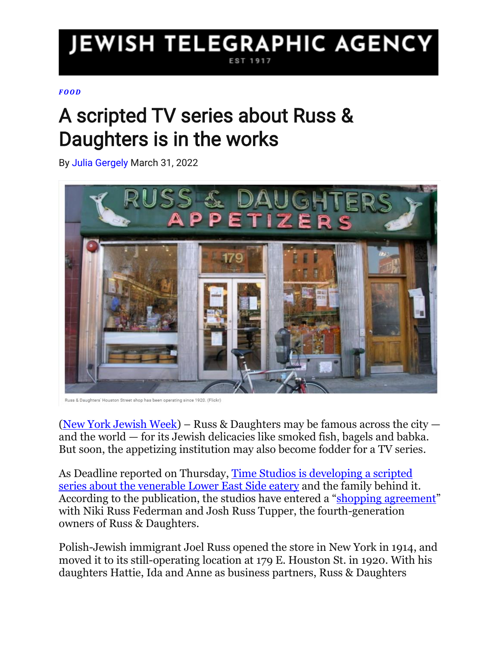## **JEWISH TELEGRAPHIC AGENCY**

## *[FO O D](https://www.jta.org/tag/nyjw-food)*

## A scripted TV series about Russ & Daughters is in the works

By Julia [Gergely](https://www.jta.org/author/julia) March 31, 2022



Russ & Daughters' Houston Street shop has been operating since 1920. (Flickr)

[\(New York Jewish Week\)](https://www.jta.org/newyork) – Russ & Daughters may be famous across the city  $$ and the world — for its Jewish delicacies like smoked fish, bagels and babka. But soon, the appetizing institution may also become fodder for a TV series.

As Deadline reported on Thursday, [Time Studios is developing a scripted](https://deadline.com/2022/03/time-studios-developing-russ-and-daughters-family-drama-series-1234991785/)  [series about the venerable Lower East Side eatery](https://deadline.com/2022/03/time-studios-developing-russ-and-daughters-family-drama-series-1234991785/) and the family behind it. According to the publication, the studios have entered a "[shopping agreement](https://www.romanolaw.com/2021/03/31/shopping-vs-option-agreement/)" with Niki Russ Federman and Josh Russ Tupper, the fourth-generation owners of Russ & Daughters.

Polish-Jewish immigrant Joel Russ opened the store in New York in 1914, and moved it to its still-operating location at 179 E. Houston St. in 1920. With his daughters Hattie, Ida and Anne as business partners, Russ & Daughters